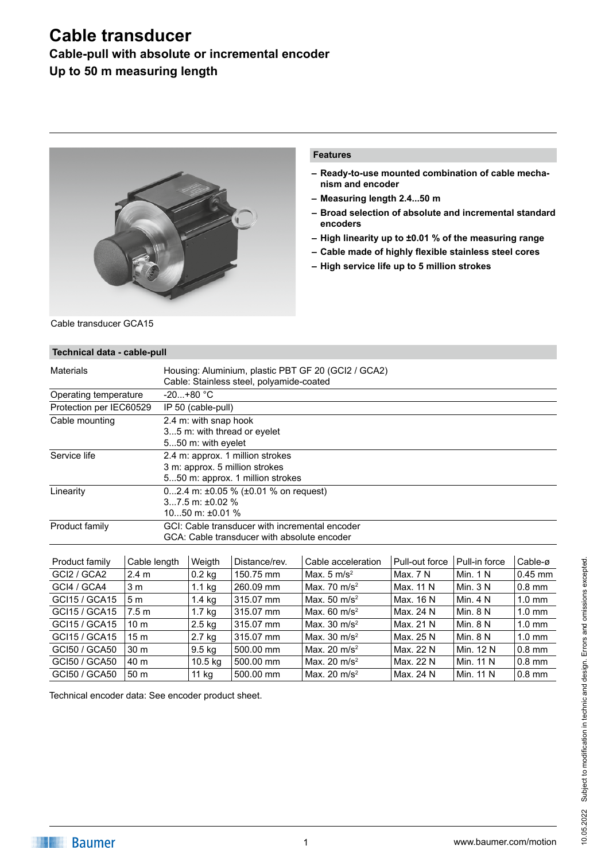### **Cable-pull with absolute or incremental encoder**

**Up to 50 m measuring length**



#### **Features**

- **– Ready-to-use mounted combination of cable mechanism and encoder**
- **– Measuring length 2.4...50 m**
- **– Broad selection of absolute and incremental standard encoders**
- **– High linearity up to ±0.01 % of the measuring range**
- **– Cable made of highly flexible stainless steel cores**
- **– High service life up to 5 million strokes**

Cable transducer GCA15

| Technical data - cable-pull     |                  |                                                                                                        |               |                          |                |               |                  |
|---------------------------------|------------------|--------------------------------------------------------------------------------------------------------|---------------|--------------------------|----------------|---------------|------------------|
| <b>Materials</b>                |                  | Housing: Aluminium, plastic PBT GF 20 (GCI2 / GCA2)<br>Cable: Stainless steel, polyamide-coated        |               |                          |                |               |                  |
| Operating temperature           |                  | $-20+80 °C$                                                                                            |               |                          |                |               |                  |
| Protection per IEC60529         |                  | IP 50 (cable-pull)                                                                                     |               |                          |                |               |                  |
| Cable mounting                  |                  | 2.4 m: with snap hook<br>35 m: with thread or eyelet<br>550 m: with eyelet                             |               |                          |                |               |                  |
| Service life                    |                  | 2.4 m: approx. 1 million strokes<br>3 m: approx. 5 million strokes<br>550 m: approx. 1 million strokes |               |                          |                |               |                  |
| Linearity                       |                  | 02.4 m: $\pm$ 0.05 % ( $\pm$ 0.01 % on request)<br>$37.5$ m: $\pm 0.02$ %<br>$1050$ m: $\pm 0.01$ %    |               |                          |                |               |                  |
| Product family                  |                  | GCI: Cable transducer with incremental encoder<br>GCA: Cable transducer with absolute encoder          |               |                          |                |               |                  |
| Product family                  | Cable length     | Weigth                                                                                                 | Distance/rev. | Cable acceleration       | Pull-out force | Pull-in force | Cable-ø          |
| GCI2 / GCA2                     | 2.4 <sub>m</sub> | $0.2$ kg                                                                                               | 150.75 mm     | Max. $5 \text{ m/s}^2$   | Max. 7 N       | Min. $1 N$    | $0.45$ mm        |
| GCI4 / GCA4                     | 3 <sub>m</sub>   |                                                                                                        | 260.09 mm     | Max. 70 m/s <sup>2</sup> | Max. 11 N      | Min. $3 N$    | $0.8$ mm         |
| GCI15 / GCA15<br>5 <sub>m</sub> |                  | $1.1$ kg<br>$1.4$ kg                                                                                   | 315.07 mm     | Max. $50 \text{ m/s}^2$  | Max. 16 N      | Min. $4 N$    | $1.0 \text{ mm}$ |

GCI15 / GCA15 |5 m | 1.4 kg |315.07 mm | Max. 50 m/s<sup>2</sup> | Max. 16 N | Min. 4 N | 1.0 mm GCI15 / GCA15 7.5 m 1.7 kg 315.07 mm Max. 60 m/s<sup>2</sup> Max. 24 N Min. 8 N 1.0 mm GCI15 / GCA15 10 m 2.5 kg 315.07 mm Max. 30 m/s<sup>2</sup> Max. 21 N Min. 8 N 1.0 mm GCI15 / GCA15  $\frac{15 \text{ m}}{315.07 \text{ mm}}$   $\frac{315.07 \text{ mm}}{315.07 \text{ mm}}$  Max. 30 m/s<sup>2</sup> Max. 25 N Min. 8 N 1.0 mm GCI50 / GCA50 30 m 9.5 kg 500.00 mm Max. 20 m/s<sup>2</sup> Max. 22 N Min. 12 N 0.8 mm GCI50 / GCA50  $\,$  40 m  $\,$  10.5 kg  $\,$  500.00 mm  $\,$  Max. 20 m/s<sup>2</sup> Max. 22 N  $\,$  Min. 11 N  $\,$  0.8 mm GCI50 / GCA50  $\,$  50 m  $\,$   $\,$  500.00 mm  $\,$  Max. 20 m/s<sup>2</sup> Max. 24 N  $\,$  Min. 11 N  $\,$  0.8 mm

Technical encoder data: See encoder product sheet.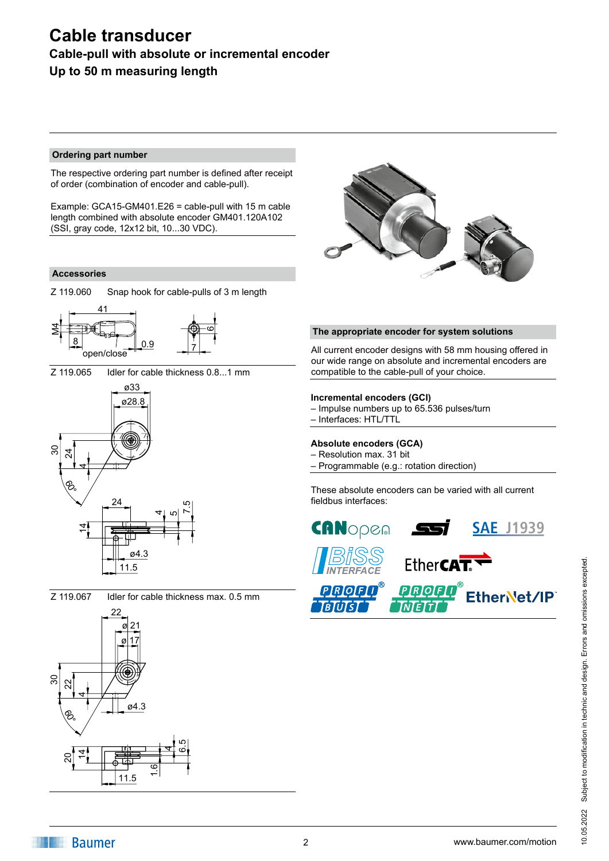### **Cable-pull with absolute or incremental encoder Up to 50 m measuring length**

#### **Ordering part number**

The respective ordering part number is defined after receipt of order (combination of encoder and cable-pull).

Example: GCA15-GM401.E26 = cable-pull with 15 m cable length combined with absolute encoder GM401.120A102 (SSI, gray code, 12x12 bit, 10...30 VDC).

#### **Accessories**







Z 119.065 Idler for cable thickness 0.8...1 mm



Z 119.067 Idler for cable thickness max. 0.5 mm





#### **The appropriate encoder for system solutions**

All current encoder designs with 58 mm housing offered in our wide range on absolute and incremental encoders are compatible to the cable-pull of your choice.

#### **Incremental encoders (GCI)**

– Impulse numbers up to 65.536 pulses/turn – Interfaces: HTL/TTL

#### **Absolute encoders (GCA)**

- Resolution max. 31 bit
- Programmable (e.g.: rotation direction)

These absolute encoders can be varied with all current fieldbus interfaces:





**IN Baumer**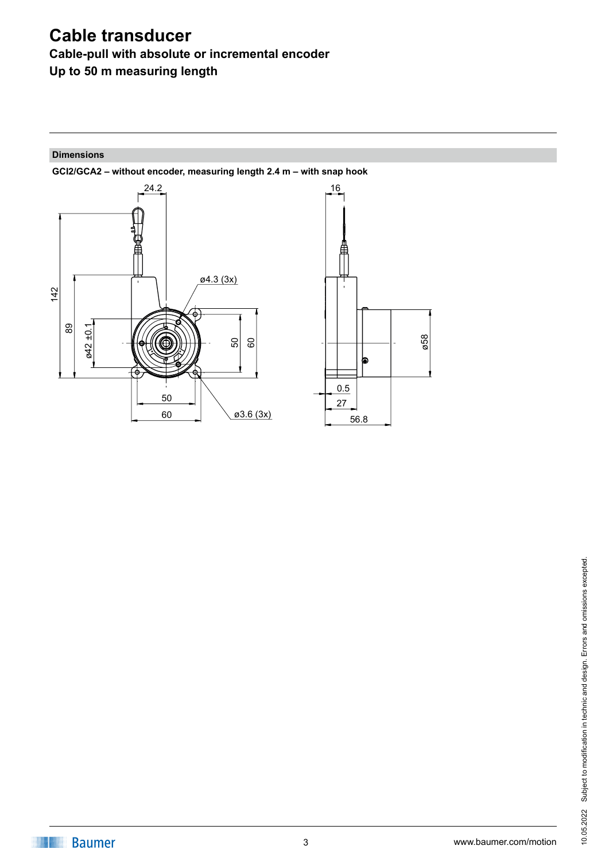**Cable-pull with absolute or incremental encoder**

**Up to 50 m measuring length**

#### **Dimensions**



**GCI2/GCA2 – without encoder, measuring length 2.4 m – with snap hook**

*¡*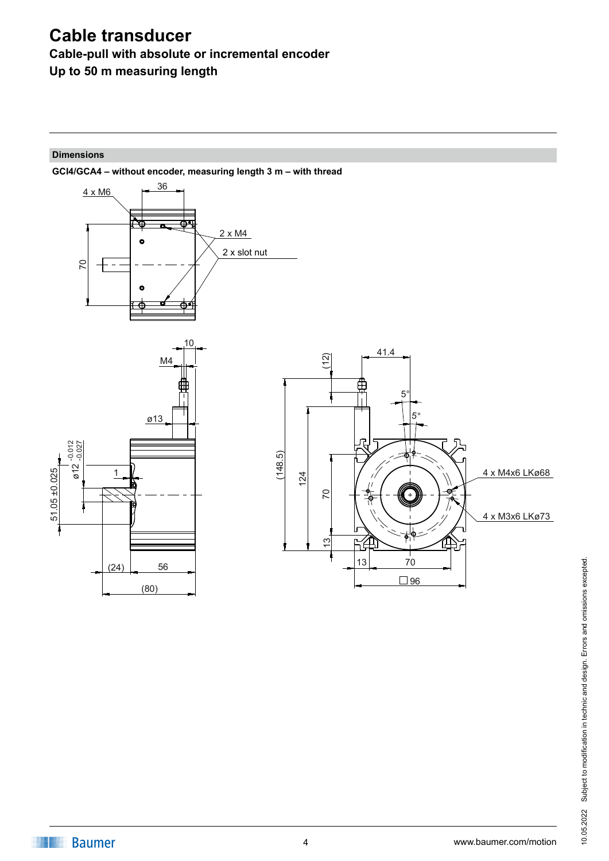# **Cable-pull with absolute or incremental encoder**

**Up to 50 m measuring length**

#### **Dimensions**

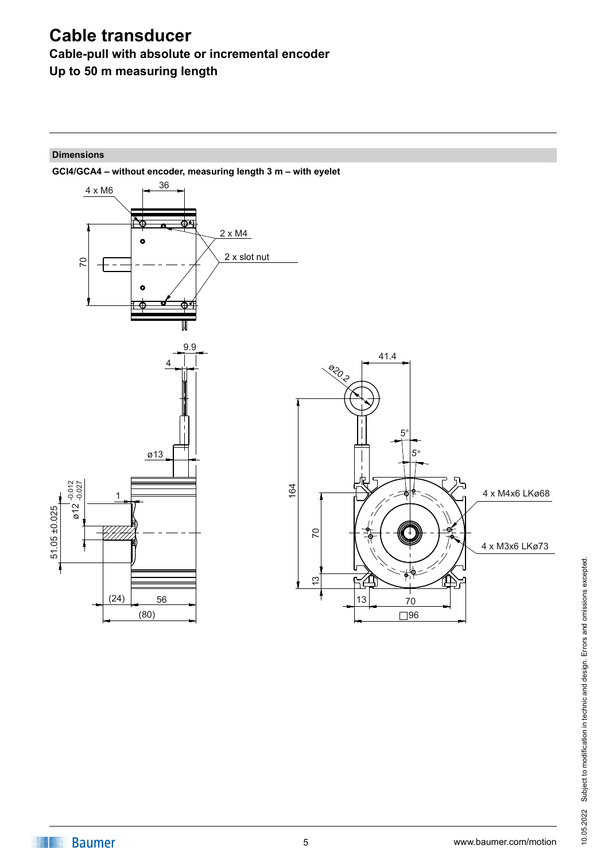## **Cable-pull with absolute or incremental encoder**

**Up to 50 m measuring length**

### **Dimensions**

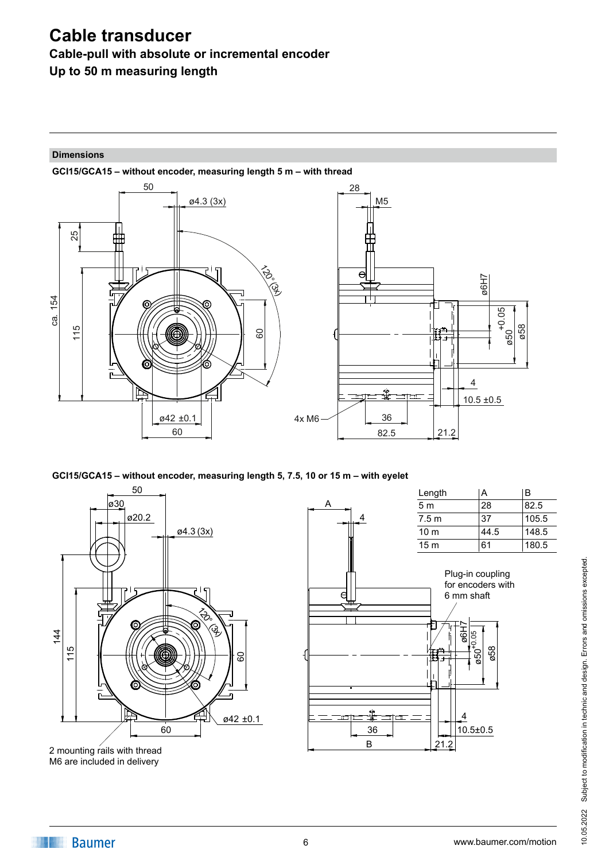**Cable-pull with absolute or incremental encoder**

**Up to 50 m measuring length**

#### **Dimensions**



**GCI15/GCA15 – without encoder, measuring length 5, 7.5, 10 or 15 m – with eyelet**



M6 are included in delivery



10.05.2022 Subject to modification in technic and design. Errors and omissions excepted. Subject to modification in technic and design. Errors and omissions excepted. 10.05.2022